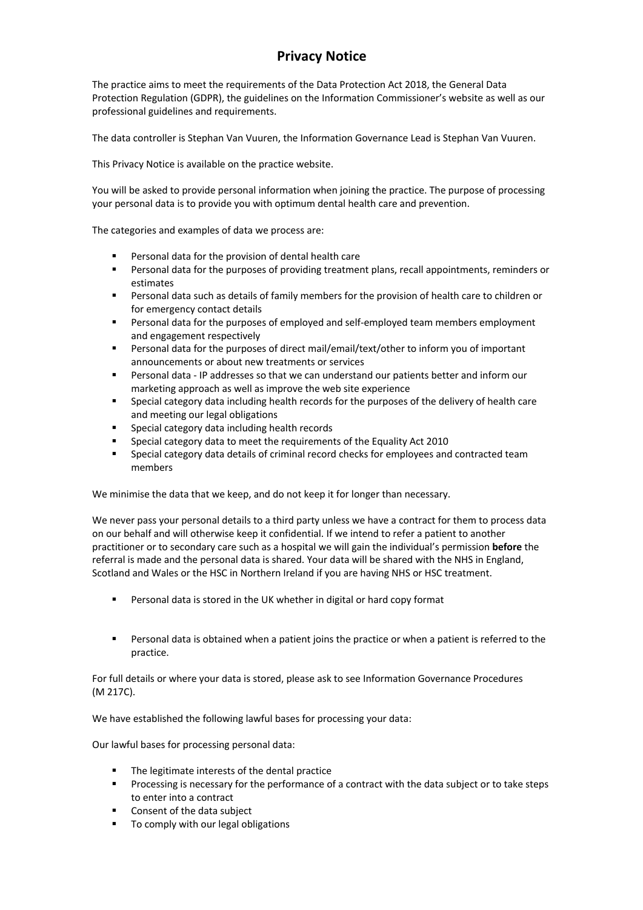# **Privacy Notice**

The practice aims to meet the requirements of the Data Protection Act 2018, the General Data Protection Regulation (GDPR), the guidelines on the Information Commissioner's website as well as our professional guidelines and requirements.

The data controller is Stephan Van Vuuren, the Information Governance Lead is Stephan Van Vuuren.

This Privacy Notice is available on the practice website.

You will be asked to provide personal information when joining the practice. The purpose of processing your personal data is to provide you with optimum dental health care and prevention.

The categories and examples of data we process are:

- Personal data for the provision of dental health care
- § Personal data for the purposes of providing treatment plans, recall appointments, reminders or estimates
- Personal data such as details of family members for the provision of health care to children or for emergency contact details
- Personal data for the purposes of employed and self-employed team members employment and engagement respectively
- Personal data for the purposes of direct mail/email/text/other to inform you of important announcements or about new treatments or services
- Personal data IP addresses so that we can understand our patients better and inform our marketing approach as well as improve the web site experience
- § Special category data including health records for the purposes of the delivery of health care and meeting our legal obligations
- § Special category data including health records
- § Special category data to meet the requirements of the Equality Act 2010
- § Special category data details of criminal record checks for employees and contracted team members

We minimise the data that we keep, and do not keep it for longer than necessary.

We never pass your personal details to a third party unless we have a contract for them to process data on our behalf and will otherwise keep it confidential. If we intend to refer a patient to another practitioner or to secondary care such as a hospital we will gain the individual's permission **before** the referral is made and the personal data is shared. Your data will be shared with the NHS in England, Scotland and Wales or the HSC in Northern Ireland if you are having NHS or HSC treatment.

- Personal data is stored in the UK whether in digital or hard copy format
- **•** Personal data is obtained when a patient joins the practice or when a patient is referred to the practice.

For full details or where your data is stored, please ask to see Information Governance Procedures (M 217C).

We have established the following lawful bases for processing your data:

Our lawful bases for processing personal data:

- The legitimate interests of the dental practice
- Processing is necessary for the performance of a contract with the data subject or to take steps to enter into a contract
- Consent of the data subject
- To comply with our legal obligations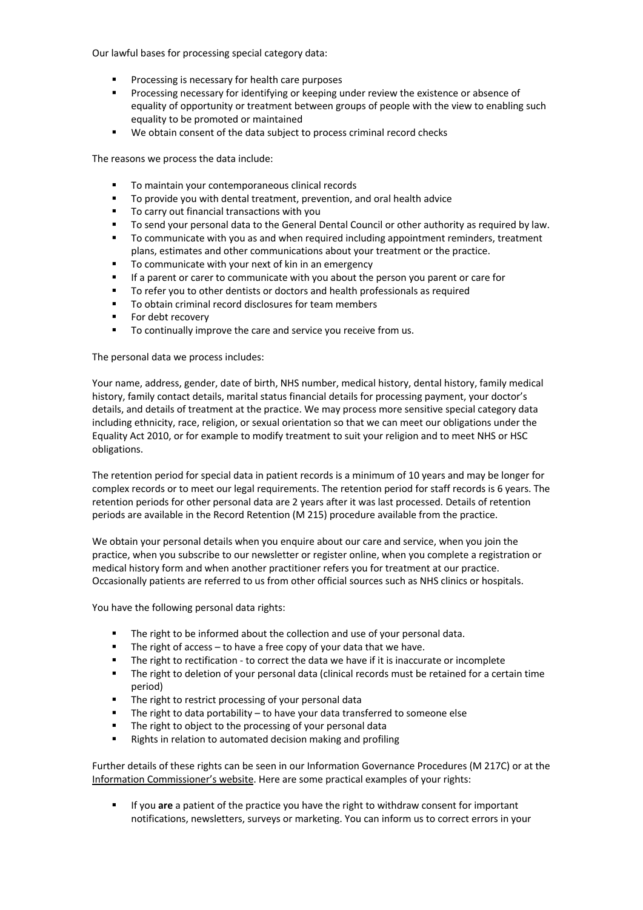Our lawful bases for processing special category data:

- § Processing is necessary for health care purposes
- § Processing necessary for identifying or keeping under review the existence or absence of equality of opportunity or treatment between groups of people with the view to enabling such equality to be promoted or maintained
- We obtain consent of the data subject to process criminal record checks

The reasons we process the data include:

- To maintain your contemporaneous clinical records
- To provide you with dental treatment, prevention, and oral health advice
- To carry out financial transactions with you
- To send your personal data to the General Dental Council or other authority as required by law.
- To communicate with you as and when required including appointment reminders, treatment plans, estimates and other communications about your treatment or the practice.
- To communicate with your next of kin in an emergency
- If a parent or carer to communicate with you about the person you parent or care for
- § To refer you to other dentists or doctors and health professionals as required
- To obtain criminal record disclosures for team members
- For debt recovery
- To continually improve the care and service you receive from us.

The personal data we process includes:

Your name, address, gender, date of birth, NHS number, medical history, dental history, family medical history, family contact details, marital status financial details for processing payment, your doctor's details, and details of treatment at the practice. We may process more sensitive special category data including ethnicity, race, religion, or sexual orientation so that we can meet our obligations under the Equality Act 2010, or for example to modify treatment to suit your religion and to meet NHS or HSC obligations.

The retention period for special data in patient records is a minimum of 10 years and may be longer for complex records or to meet our legal requirements. The retention period for staff records is 6 years. The retention periods for other personal data are 2 years after it was last processed. Details of retention periods are available in the Record Retention (M 215) procedure available from the practice.

We obtain your personal details when you enquire about our care and service, when you join the practice, when you subscribe to our newsletter or register online, when you complete a registration or medical history form and when another practitioner refers you for treatment at our practice. Occasionally patients are referred to us from other official sources such as NHS clinics or hospitals.

You have the following personal data rights:

- § The right to be informed about the collection and use of your personal data.
- The right of access to have a free copy of your data that we have.
- **•** The right to rectification to correct the data we have if it is inaccurate or incomplete
- The right to deletion of your personal data (clinical records must be retained for a certain time period)
- The right to restrict processing of your personal data
- The right to data portability to have your data transferred to someone else
- The right to object to the processing of your personal data
- Rights in relation to automated decision making and profiling

Further details of these rights can be seen in our Information Governance Procedures (M 217C) or at the Information Commissioner's website. Here are some practical examples of your rights:

§ If you **are** a patient of the practice you have the right to withdraw consent for important notifications, newsletters, surveys or marketing. You can inform us to correct errors in your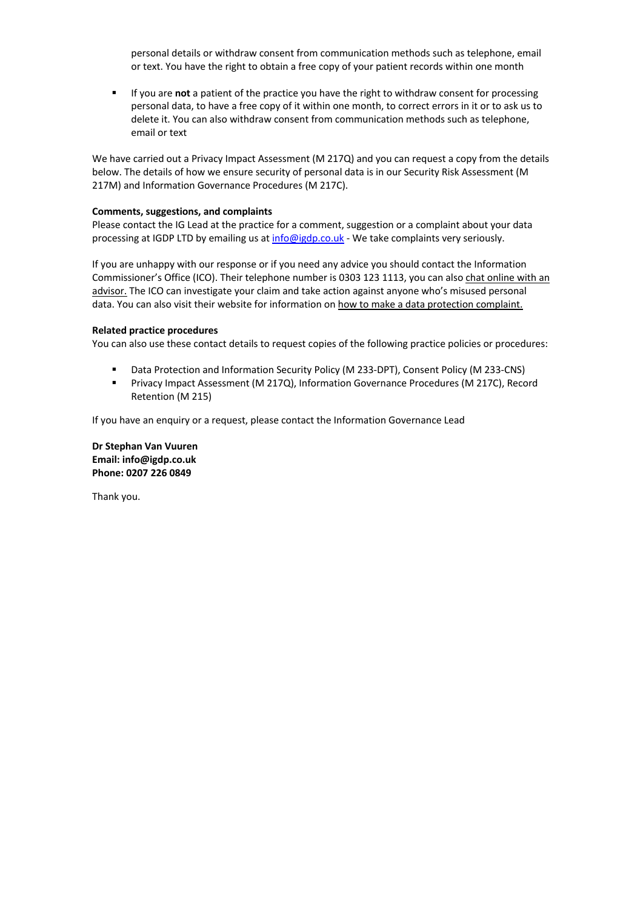personal details or withdraw consent from communication methods such as telephone, email or text. You have the right to obtain a free copy of your patient records within one month

■ If you are not a patient of the practice you have the right to withdraw consent for processing personal data, to have a free copy of it within one month, to correct errors in it or to ask us to delete it. You can also withdraw consent from communication methods such as telephone, email or text

We have carried out a Privacy Impact Assessment (M 217Q) and you can request a copy from the details below. The details of how we ensure security of personal data is in our Security Risk Assessment (M 217M) and Information Governance Procedures (M 217C).

## **Comments, suggestions, and complaints**

Please contact the IG Lead at the practice for a comment, suggestion or a complaint about your data processing at IGDP LTD by emailing us at info@igdp.co.uk - We take complaints very seriously.

If you are unhappy with our response or if you need any advice you should contact the Information Commissioner's Office (ICO). Their telephone number is 0303 123 1113, you can also chat online with an advisor. The ICO can investigate your claim and take action against anyone who's misused personal data. You can also visit their website for information on how to make a data protection complaint.

### **Related practice procedures**

You can also use these contact details to request copies of the following practice policies or procedures:

- § Data Protection and Information Security Policy (M 233-DPT), Consent Policy (M 233-CNS)
- § Privacy Impact Assessment (M 217Q), Information Governance Procedures (M 217C), Record Retention (M 215)

If you have an enquiry or a request, please contact the Information Governance Lead

**Dr Stephan Van Vuuren Email: info@igdp.co.uk Phone: 0207 226 0849**

Thank you.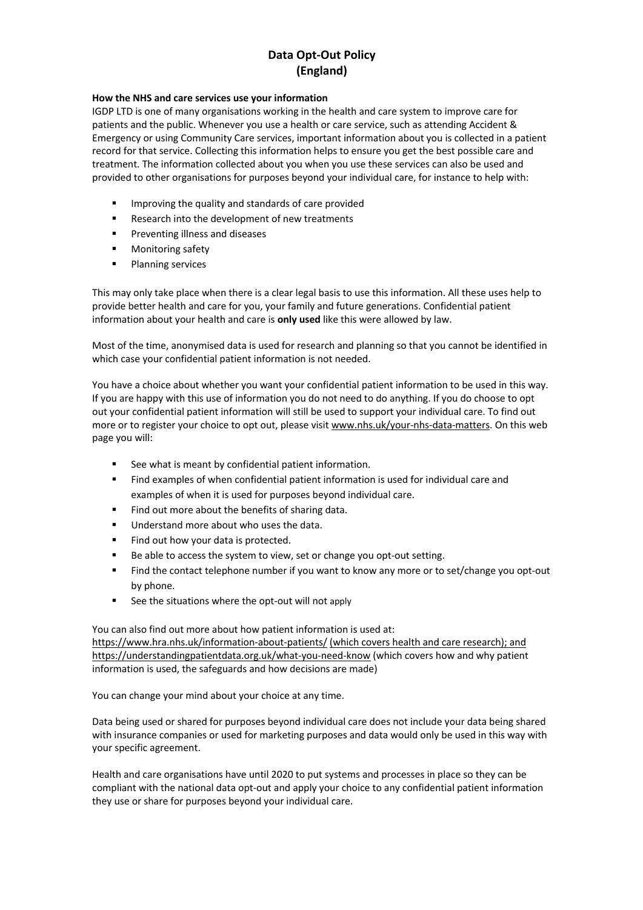# **Data Opt-Out Policy (England)**

## **How the NHS and care services use your information**

IGDP LTD is one of many organisations working in the health and care system to improve care for patients and the public. Whenever you use a health or care service, such as attending Accident & Emergency or using Community Care services, important information about you is collected in a patient record for that service. Collecting this information helps to ensure you get the best possible care and treatment. The information collected about you when you use these services can also be used and provided to other organisations for purposes beyond your individual care, for instance to help with:

- Improving the quality and standards of care provided
- Research into the development of new treatments
- Preventing illness and diseases
- § Monitoring safety
- Planning services

This may only take place when there is a clear legal basis to use this information. All these uses help to provide better health and care for you, your family and future generations. Confidential patient information about your health and care is **only used** like this were allowed by law.

Most of the time, anonymised data is used for research and planning so that you cannot be identified in which case your confidential patient information is not needed.

You have a choice about whether you want your confidential patient information to be used in this way. If you are happy with this use of information you do not need to do anything. If you do choose to opt out your confidential patient information will still be used to support your individual care. To find out more or to register your choice to opt out, please visit www.nhs.uk/your-nhs-data-matters. On this web page you will:

- See what is meant by confidential patient information.
- § Find examples of when confidential patient information is used for individual care and examples of when it is used for purposes beyond individual care.
- Find out more about the benefits of sharing data.
- Understand more about who uses the data.
- Find out how your data is protected.
- Be able to access the system to view, set or change you opt-out setting.
- Find the contact telephone number if you want to know any more or to set/change you opt-out by phone.
- See the situations where the opt-out will not apply

You can also find out more about how patient information is used at: https://www.hra.nhs.uk/information-about-patients/ (which covers health and care research); and https://understandingpatientdata.org.uk/what-you-need-know (which covers how and why patient information is used, the safeguards and how decisions are made)

You can change your mind about your choice at any time.

Data being used or shared for purposes beyond individual care does not include your data being shared with insurance companies or used for marketing purposes and data would only be used in this way with your specific agreement.

Health and care organisations have until 2020 to put systems and processes in place so they can be compliant with the national data opt-out and apply your choice to any confidential patient information they use or share for purposes beyond your individual care.